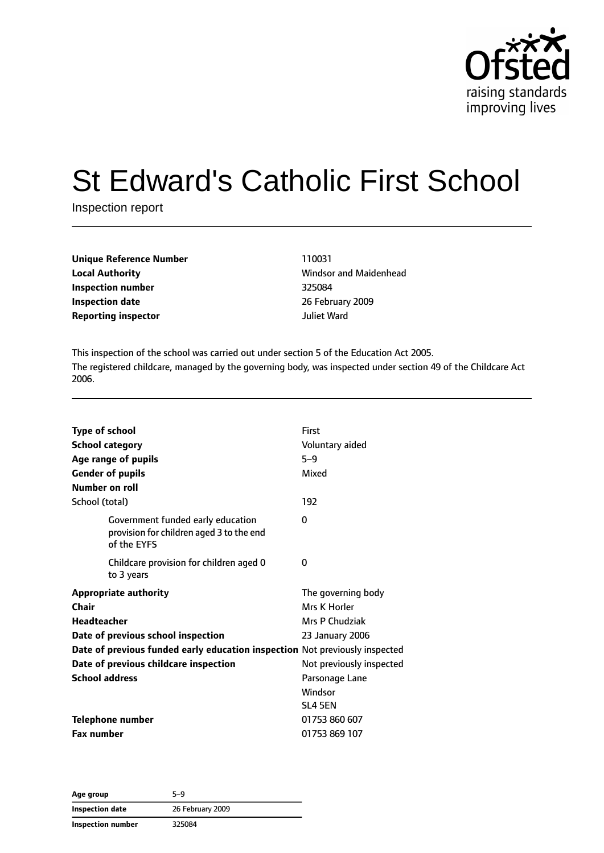

# St Edward's Catholic First School

Inspection report

| Unique Reference Number    | 110031      |
|----------------------------|-------------|
| <b>Local Authority</b>     | Windsor and |
| Inspection number          | 325084      |
| <b>Inspection date</b>     | 26 February |
| <b>Reporting inspector</b> | Juliet Ward |

**Local Authority** Windsor and Maidenhead **Inspection date** 26 February 2009

This inspection of the school was carried out under section 5 of the Education Act 2005. The registered childcare, managed by the governing body, was inspected under section 49 of the Childcare Act 2006.

| <b>Type of school</b>                                                                        | First                                                                       |
|----------------------------------------------------------------------------------------------|-----------------------------------------------------------------------------|
| <b>School category</b>                                                                       | Voluntary aided                                                             |
| Age range of pupils                                                                          | $5 - 9$                                                                     |
| <b>Gender of pupils</b>                                                                      | Mixed                                                                       |
| Number on roll                                                                               |                                                                             |
| School (total)                                                                               | 192                                                                         |
| Government funded early education<br>provision for children aged 3 to the end<br>of the EYFS | 0                                                                           |
| Childcare provision for children aged 0<br>to 3 years                                        | 0                                                                           |
| <b>Appropriate authority</b>                                                                 | The governing body                                                          |
| Chair                                                                                        | Mrs K Horler                                                                |
| <b>Headteacher</b>                                                                           | Mrs P Chudziak                                                              |
| Date of previous school inspection                                                           | 23 January 2006                                                             |
|                                                                                              | Date of previous funded early education inspection Not previously inspected |
| Date of previous childcare inspection                                                        | Not previously inspected                                                    |
| <b>School address</b>                                                                        | Parsonage Lane                                                              |
|                                                                                              | Windsor                                                                     |
|                                                                                              | SL4 5EN                                                                     |
| <b>Telephone number</b>                                                                      | 01753 860 607                                                               |
| <b>Fax number</b>                                                                            | 01753 869 107                                                               |

**Age group** 5–9 **Inspection date** 26 February 2009 **Inspection number** 325084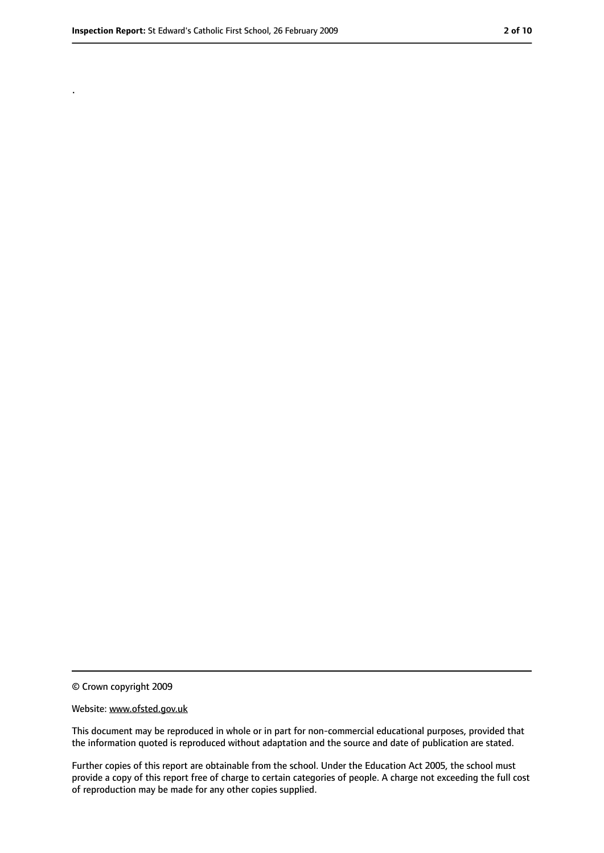.

<sup>©</sup> Crown copyright 2009

Website: www.ofsted.gov.uk

This document may be reproduced in whole or in part for non-commercial educational purposes, provided that the information quoted is reproduced without adaptation and the source and date of publication are stated.

Further copies of this report are obtainable from the school. Under the Education Act 2005, the school must provide a copy of this report free of charge to certain categories of people. A charge not exceeding the full cost of reproduction may be made for any other copies supplied.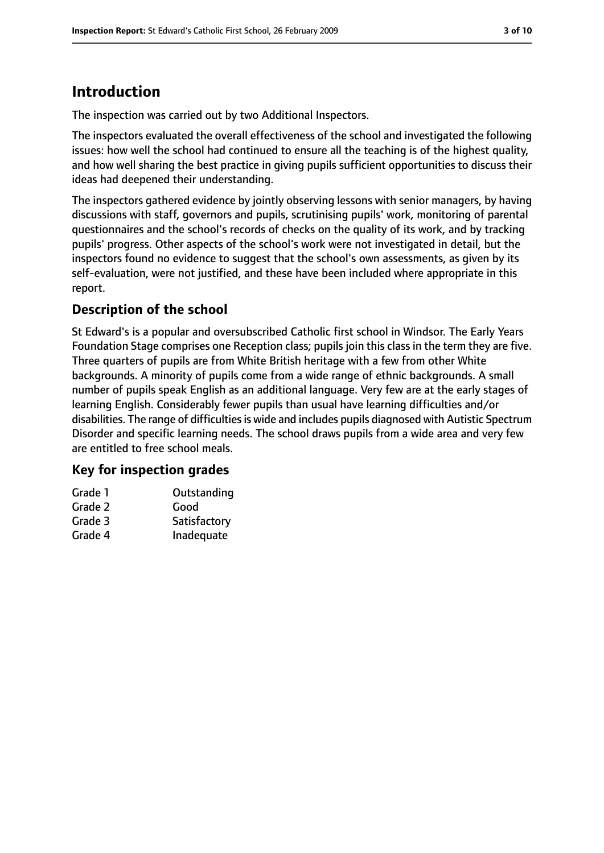# **Introduction**

The inspection was carried out by two Additional Inspectors.

The inspectors evaluated the overall effectiveness of the school and investigated the following issues: how well the school had continued to ensure all the teaching is of the highest quality, and how well sharing the best practice in giving pupils sufficient opportunities to discuss their ideas had deepened their understanding.

The inspectors gathered evidence by jointly observing lessons with senior managers, by having discussions with staff, governors and pupils, scrutinising pupils' work, monitoring of parental questionnaires and the school's records of checks on the quality of its work, and by tracking pupils' progress. Other aspects of the school's work were not investigated in detail, but the inspectors found no evidence to suggest that the school's own assessments, as given by its self-evaluation, were not justified, and these have been included where appropriate in this report.

## **Description of the school**

St Edward's is a popular and oversubscribed Catholic first school in Windsor. The Early Years Foundation Stage comprises one Reception class; pupils join this class in the term they are five. Three quarters of pupils are from White British heritage with a few from other White backgrounds. A minority of pupils come from a wide range of ethnic backgrounds. A small number of pupils speak English as an additional language. Very few are at the early stages of learning English. Considerably fewer pupils than usual have learning difficulties and/or disabilities. The range of difficulties is wide and includes pupils diagnosed with Autistic Spectrum Disorder and specific learning needs. The school draws pupils from a wide area and very few are entitled to free school meals.

### **Key for inspection grades**

| Grade 1 | Outstanding  |
|---------|--------------|
| Grade 2 | Good         |
| Grade 3 | Satisfactory |
| Grade 4 | Inadequate   |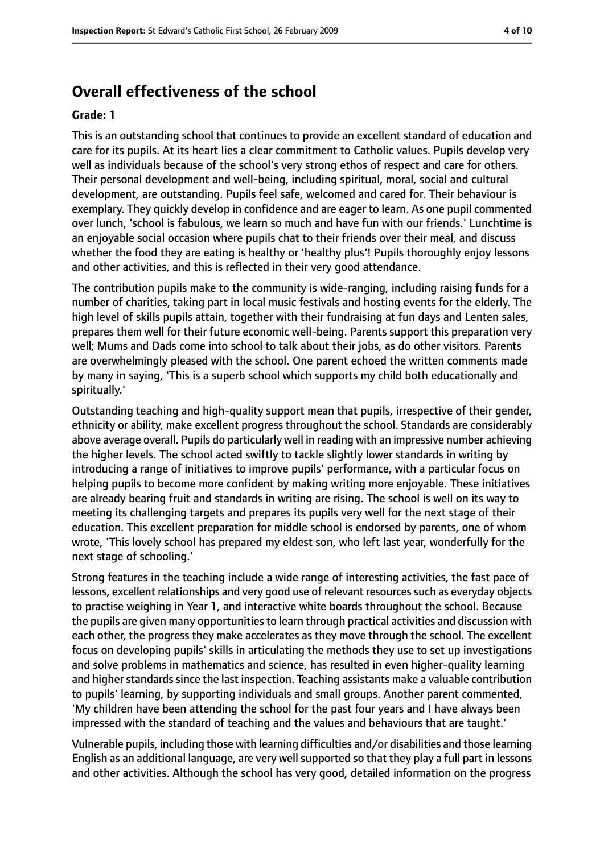## **Overall effectiveness of the school**

#### **Grade: 1**

This is an outstanding school that continues to provide an excellent standard of education and care for its pupils. At its heart lies a clear commitment to Catholic values. Pupils develop very well as individuals because of the school's very strong ethos of respect and care for others. Their personal development and well-being, including spiritual, moral, social and cultural development, are outstanding. Pupils feel safe, welcomed and cared for. Their behaviour is exemplary. They quickly develop in confidence and are eager to learn. As one pupil commented over lunch, 'school is fabulous, we learn so much and have fun with our friends.' Lunchtime is an enjoyable social occasion where pupils chat to their friends over their meal, and discuss whether the food they are eating is healthy or 'healthy plus'! Pupils thoroughly enjoy lessons and other activities, and this is reflected in their very good attendance.

The contribution pupils make to the community is wide-ranging, including raising funds for a number of charities, taking part in local music festivals and hosting events for the elderly. The high level of skills pupils attain, together with their fundraising at fun days and Lenten sales, prepares them well for their future economic well-being. Parents support this preparation very well; Mums and Dads come into school to talk about their jobs, as do other visitors. Parents are overwhelmingly pleased with the school. One parent echoed the written comments made by many in saying, 'This is a superb school which supports my child both educationally and spiritually.'

Outstanding teaching and high-quality support mean that pupils, irrespective of their gender, ethnicity or ability, make excellent progress throughout the school. Standards are considerably above average overall. Pupils do particularly well in reading with an impressive number achieving the higher levels. The school acted swiftly to tackle slightly lower standards in writing by introducing a range of initiatives to improve pupils' performance, with a particular focus on helping pupils to become more confident by making writing more enjoyable. These initiatives are already bearing fruit and standards in writing are rising. The school is well on its way to meeting its challenging targets and prepares its pupils very well for the next stage of their education. This excellent preparation for middle school is endorsed by parents, one of whom wrote, 'This lovely school has prepared my eldest son, who left last year, wonderfully for the next stage of schooling.'

Strong features in the teaching include a wide range of interesting activities, the fast pace of lessons, excellent relationships and very good use of relevant resources such as everyday objects to practise weighing in Year 1, and interactive white boards throughout the school. Because the pupils are given many opportunities to learn through practical activities and discussion with each other, the progress they make accelerates as they move through the school. The excellent focus on developing pupils' skills in articulating the methods they use to set up investigations and solve problems in mathematics and science, has resulted in even higher-quality learning and higher standards since the last inspection. Teaching assistants make a valuable contribution to pupils' learning, by supporting individuals and small groups. Another parent commented, 'My children have been attending the school for the past four years and I have always been impressed with the standard of teaching and the values and behaviours that are taught.'

Vulnerable pupils, including those with learning difficulties and/or disabilities and those learning English as an additional language, are very well supported so that they play a full part in lessons and other activities. Although the school has very good, detailed information on the progress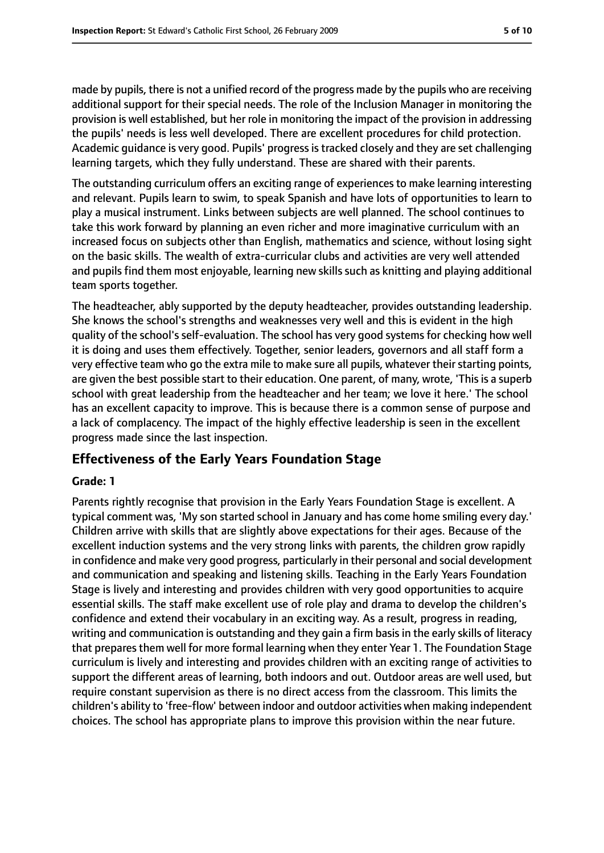made by pupils, there is not a unified record of the progress made by the pupils who are receiving additional support for their special needs. The role of the Inclusion Manager in monitoring the provision is well established, but her role in monitoring the impact of the provision in addressing the pupils' needs is less well developed. There are excellent procedures for child protection. Academic guidance is very good. Pupils' progressistracked closely and they are set challenging learning targets, which they fully understand. These are shared with their parents.

The outstanding curriculum offers an exciting range of experiencesto make learning interesting and relevant. Pupils learn to swim, to speak Spanish and have lots of opportunities to learn to play a musical instrument. Links between subjects are well planned. The school continues to take this work forward by planning an even richer and more imaginative curriculum with an increased focus on subjects other than English, mathematics and science, without losing sight on the basic skills. The wealth of extra-curricular clubs and activities are very well attended and pupils find them most enjoyable, learning new skills such as knitting and playing additional team sports together.

The headteacher, ably supported by the deputy headteacher, provides outstanding leadership. She knows the school's strengths and weaknesses very well and this is evident in the high quality of the school's self-evaluation. The school has very good systems for checking how well it is doing and uses them effectively. Together, senior leaders, governors and all staff form a very effective team who go the extra mile to make sure all pupils, whatever their starting points, are given the best possible start to their education. One parent, of many, wrote, 'This is a superb school with great leadership from the headteacher and her team; we love it here.' The school has an excellent capacity to improve. This is because there is a common sense of purpose and a lack of complacency. The impact of the highly effective leadership is seen in the excellent progress made since the last inspection.

## **Effectiveness of the Early Years Foundation Stage**

### **Grade: 1**

Parents rightly recognise that provision in the Early Years Foundation Stage is excellent. A typical comment was, 'My son started school in January and has come home smiling every day.' Children arrive with skills that are slightly above expectations for their ages. Because of the excellent induction systems and the very strong links with parents, the children grow rapidly in confidence and make very good progress, particularly in their personal and social development and communication and speaking and listening skills. Teaching in the Early Years Foundation Stage is lively and interesting and provides children with very good opportunities to acquire essential skills. The staff make excellent use of role play and drama to develop the children's confidence and extend their vocabulary in an exciting way. As a result, progress in reading, writing and communication is outstanding and they gain a firm basis in the early skills of literacy that prepares them well for more formal learning when they enter Year 1. The Foundation Stage curriculum is lively and interesting and provides children with an exciting range of activities to support the different areas of learning, both indoors and out. Outdoor areas are well used, but require constant supervision as there is no direct access from the classroom. This limits the children's ability to 'free-flow' between indoor and outdoor activities when making independent choices. The school has appropriate plans to improve this provision within the near future.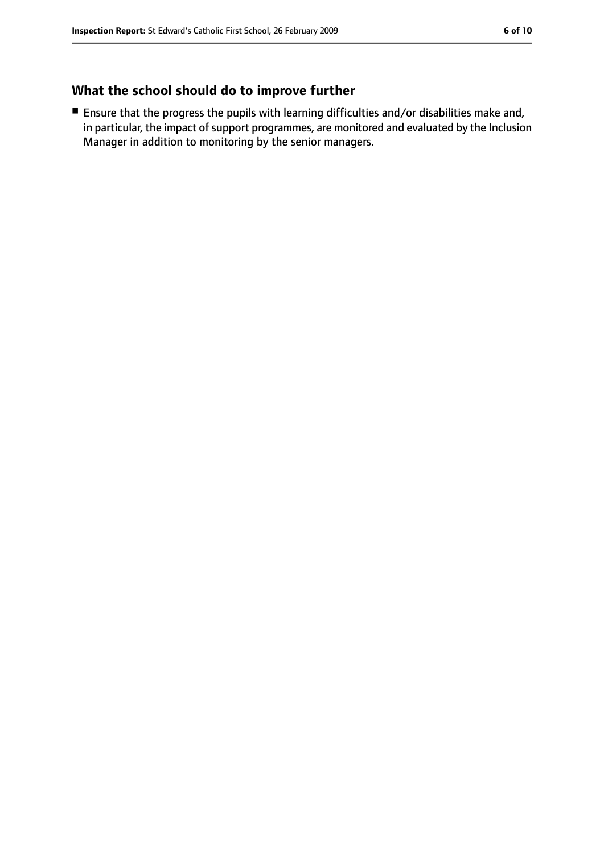## **What the school should do to improve further**

■ Ensure that the progress the pupils with learning difficulties and/or disabilities make and, in particular, the impact of support programmes, are monitored and evaluated by the Inclusion Manager in addition to monitoring by the senior managers.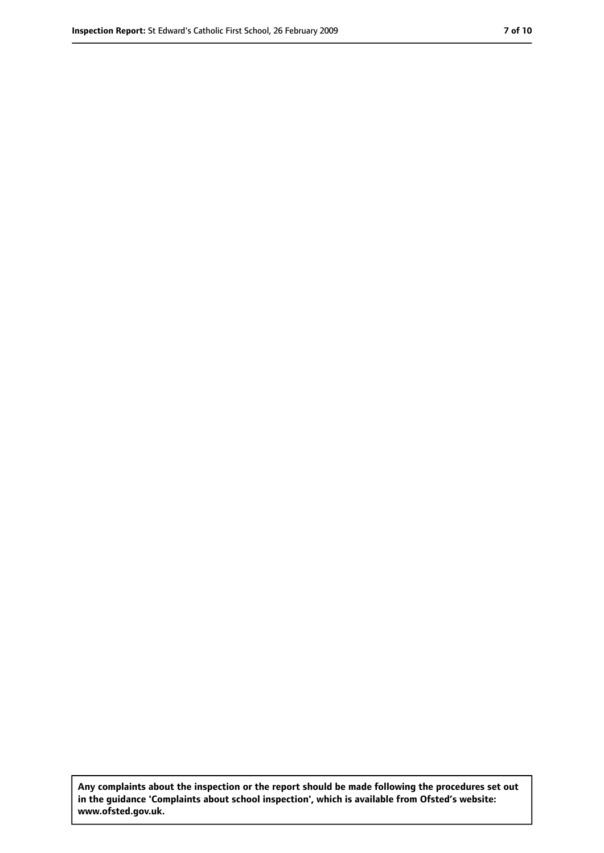**Any complaints about the inspection or the report should be made following the procedures set out in the guidance 'Complaints about school inspection', which is available from Ofsted's website: www.ofsted.gov.uk.**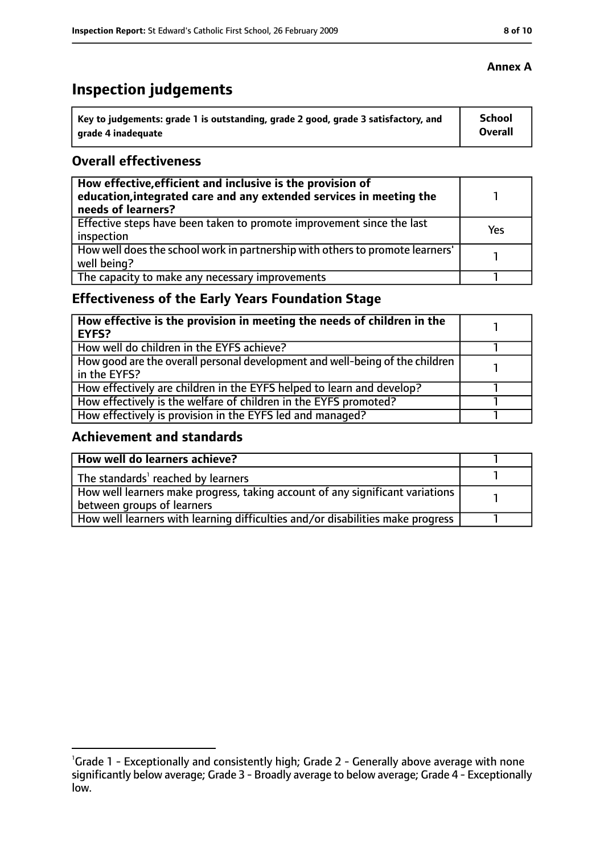# **Inspection judgements**

| Key to judgements: grade 1 is outstanding, grade 2 good, grade 3 satisfactory, and | School  |
|------------------------------------------------------------------------------------|---------|
| arade 4 inadequate                                                                 | Overall |

## **Overall effectiveness**

| How effective, efficient and inclusive is the provision of<br>education, integrated care and any extended services in meeting the<br>needs of learners? |     |
|---------------------------------------------------------------------------------------------------------------------------------------------------------|-----|
| Effective steps have been taken to promote improvement since the last<br>inspection                                                                     | Yes |
| How well does the school work in partnership with others to promote learners'<br>well being?                                                            |     |
| The capacity to make any necessary improvements                                                                                                         |     |

## **Effectiveness of the Early Years Foundation Stage**

| How effective is the provision in meeting the needs of children in the<br>l EYFS?            |  |
|----------------------------------------------------------------------------------------------|--|
| How well do children in the EYFS achieve?                                                    |  |
| How good are the overall personal development and well-being of the children<br>in the EYFS? |  |
| How effectively are children in the EYFS helped to learn and develop?                        |  |
| How effectively is the welfare of children in the EYFS promoted?                             |  |
| How effectively is provision in the EYFS led and managed?                                    |  |

## **Achievement and standards**

| How well do learners achieve?                                                               |  |
|---------------------------------------------------------------------------------------------|--|
| $\vert$ The standards <sup>1</sup> reached by learners                                      |  |
| $\mid$ How well learners make progress, taking account of any significant variations $\mid$ |  |
| between groups of learners                                                                  |  |
| How well learners with learning difficulties and/or disabilities make progress              |  |

<sup>&</sup>lt;sup>1</sup>Grade 1 - Exceptionally and consistently high; Grade 2 - Generally above average with none significantly below average; Grade 3 - Broadly average to below average; Grade 4 - Exceptionally low.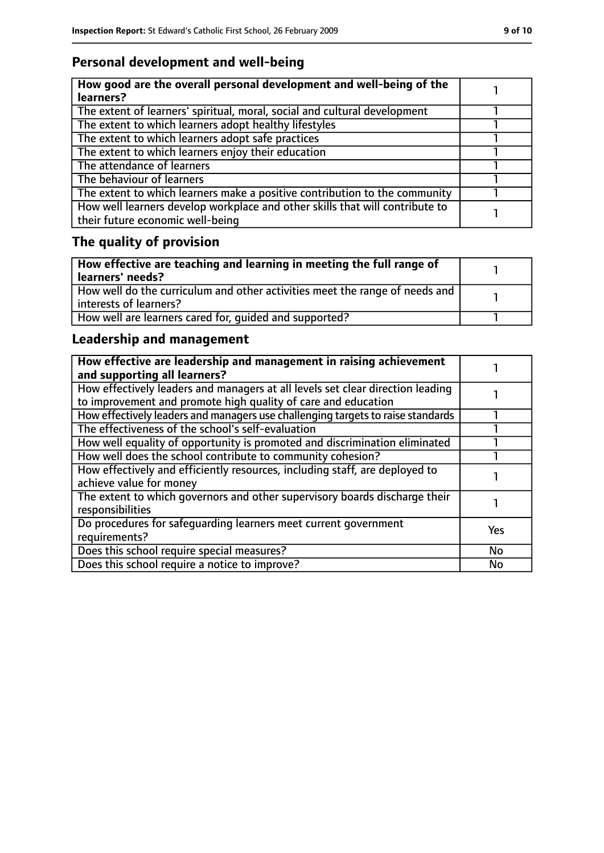## **Personal development and well-being**

| How good are the overall personal development and well-being of the<br>learners?                                 |  |
|------------------------------------------------------------------------------------------------------------------|--|
| The extent of learners' spiritual, moral, social and cultural development                                        |  |
| The extent to which learners adopt healthy lifestyles                                                            |  |
| The extent to which learners adopt safe practices                                                                |  |
| The extent to which learners enjoy their education                                                               |  |
| The attendance of learners                                                                                       |  |
| The behaviour of learners                                                                                        |  |
| The extent to which learners make a positive contribution to the community                                       |  |
| How well learners develop workplace and other skills that will contribute to<br>their future economic well-being |  |

# **The quality of provision**

| How effective are teaching and learning in meeting the full range of<br>learners' needs?              |  |
|-------------------------------------------------------------------------------------------------------|--|
| How well do the curriculum and other activities meet the range of needs and<br>interests of learners? |  |
| How well are learners cared for, quided and supported?                                                |  |

## **Leadership and management**

| How effective are leadership and management in raising achievement<br>and supporting all learners?                                              |            |
|-------------------------------------------------------------------------------------------------------------------------------------------------|------------|
| How effectively leaders and managers at all levels set clear direction leading<br>to improvement and promote high quality of care and education |            |
| How effectively leaders and managers use challenging targets to raise standards                                                                 |            |
| The effectiveness of the school's self-evaluation                                                                                               |            |
| How well equality of opportunity is promoted and discrimination eliminated                                                                      |            |
| How well does the school contribute to community cohesion?                                                                                      |            |
| How effectively and efficiently resources, including staff, are deployed to<br>achieve value for money                                          |            |
| The extent to which governors and other supervisory boards discharge their<br>responsibilities                                                  |            |
| Do procedures for safequarding learners meet current government<br>requirements?                                                                | <b>Yes</b> |
| Does this school require special measures?                                                                                                      | No         |
| Does this school require a notice to improve?                                                                                                   | No         |